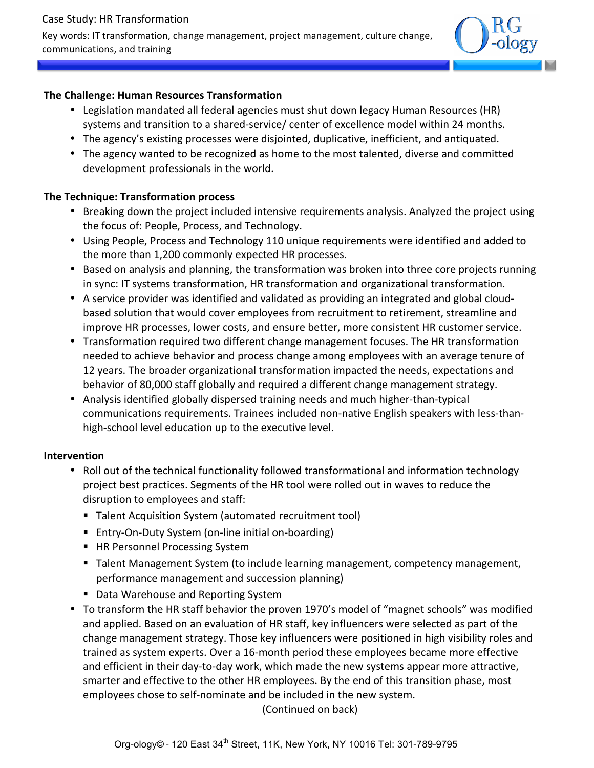### Case Study: HR Transformation

Key words: IT transformation, change management, project management, culture change, communications, and training



## **The Challenge: Human Resources Transformation**

- Legislation mandated all federal agencies must shut down legacy Human Resources (HR) systems and transition to a shared-service/ center of excellence model within 24 months.
- The agency's existing processes were disjointed, duplicative, inefficient, and antiquated.
- The agency wanted to be recognized as home to the most talented, diverse and committed development professionals in the world.

# **The Technique: Transformation process**

- Breaking down the project included intensive requirements analysis. Analyzed the project using the focus of: People, Process, and Technology.
- Using People, Process and Technology 110 unique requirements were identified and added to the more than 1,200 commonly expected HR processes.
- Based on analysis and planning, the transformation was broken into three core projects running in sync: IT systems transformation, HR transformation and organizational transformation.
- A service provider was identified and validated as providing an integrated and global cloudbased solution that would cover employees from recruitment to retirement, streamline and improve HR processes, lower costs, and ensure better, more consistent HR customer service.
- Transformation required two different change management focuses. The HR transformation needed to achieve behavior and process change among employees with an average tenure of 12 years. The broader organizational transformation impacted the needs, expectations and behavior of 80,000 staff globally and required a different change management strategy.
- Analysis identified globally dispersed training needs and much higher-than-typical communications requirements. Trainees included non-native English speakers with less-thanhigh-school level education up to the executive level.

## **Intervention**

- Roll out of the technical functionality followed transformational and information technology project best practices. Segments of the HR tool were rolled out in waves to reduce the disruption to employees and staff:
	- Talent Acquisition System (automated recruitment tool)
	- Entry-On-Duty System (on-line initial on-boarding)
	- HR Personnel Processing System
	- Talent Management System (to include learning management, competency management, performance management and succession planning)
	- Data Warehouse and Reporting System
- To transform the HR staff behavior the proven 1970's model of "magnet schools" was modified and applied. Based on an evaluation of HR staff, key influencers were selected as part of the change management strategy. Those key influencers were positioned in high visibility roles and trained as system experts. Over a 16-month period these employees became more effective and efficient in their day-to-day work, which made the new systems appear more attractive, smarter and effective to the other HR employees. By the end of this transition phase, most employees chose to self-nominate and be included in the new system.

(Continued on back)